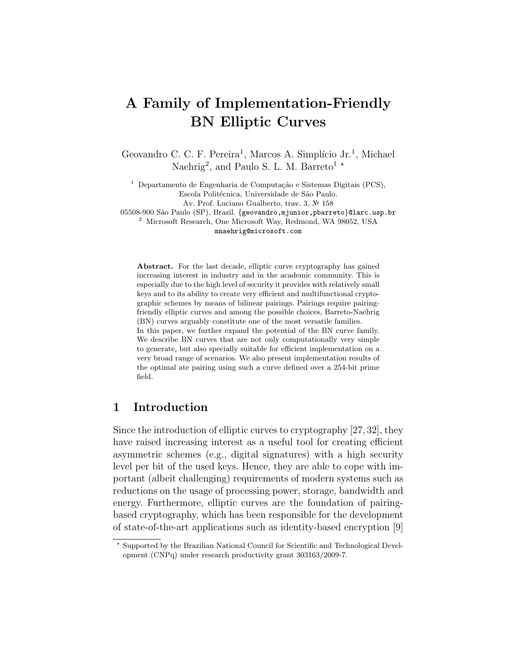# A Family of Implementation-Friendly BN Elliptic Curves

Geovandro C. C. F. Pereira<sup>1</sup>, Marcos A. Simplício Jr.<sup>1</sup>, Michael Naehrig<sup>2</sup>, and Paulo S. L. M. Barreto<sup>1</sup>  $\star$ 

 $1$  Departamento de Engenharia de Computação e Sistemas Digitais (PCS), Escola Politécnica, Universidade de São Paulo.

Av. Prof. Luciano Gualberto, trav. 3, № 158

05508-900 São Paulo (SP), Brazil. {geovandro, mjunior, pbarreto}@larc.usp.br

<sup>2</sup> Microsoft Research, One Microsoft Way, Redmond, WA 98052, USA

mnaehrig@microsoft.com

Abstract. For the last decade, elliptic curve cryptography has gained increasing interest in industry and in the academic community. This is especially due to the high level of security it provides with relatively small keys and to its ability to create very efficient and multifunctional cryptographic schemes by means of bilinear pairings. Pairings require pairingfriendly elliptic curves and among the possible choices, Barreto-Naehrig (BN) curves arguably constitute one of the most versatile families. In this paper, we further expand the potential of the BN curve family.

We describe BN curves that are not only computationally very simple to generate, but also specially suitable for efficient implementation on a very broad range of scenarios. We also present implementation results of the optimal ate pairing using such a curve defined over a 254-bit prime field.

### 1 Introduction

Since the introduction of elliptic curves to cryptography [27, 32], they have raised increasing interest as a useful tool for creating efficient asymmetric schemes (e.g., digital signatures) with a high security level per bit of the used keys. Hence, they are able to cope with important (albeit challenging) requirements of modern systems such as reductions on the usage of processing power, storage, bandwidth and energy. Furthermore, elliptic curves are the foundation of pairingbased cryptography, which has been responsible for the development of state-of-the-art applications such as identity-based encryption [9]

<sup>?</sup> Supported by the Brazilian National Council for Scientific and Technological Development (CNPq) under research productivity grant 303163/2009-7.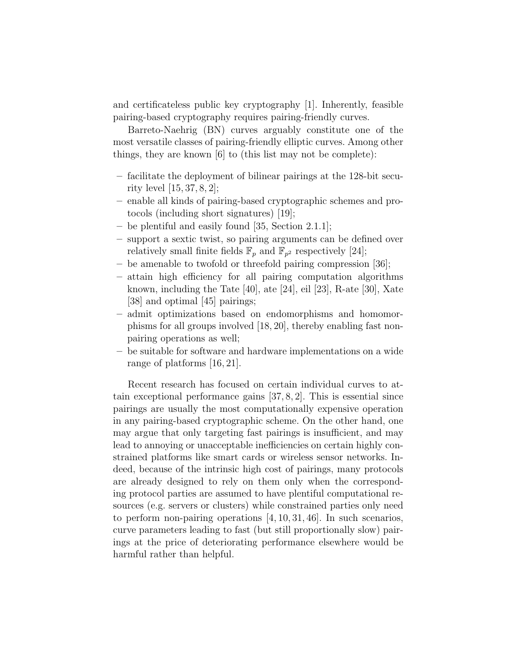and certificateless public key cryptography [1]. Inherently, feasible pairing-based cryptography requires pairing-friendly curves.

Barreto-Naehrig (BN) curves arguably constitute one of the most versatile classes of pairing-friendly elliptic curves. Among other things, they are known [6] to (this list may not be complete):

- facilitate the deployment of bilinear pairings at the 128-bit security level [15, 37, 8, 2];
- enable all kinds of pairing-based cryptographic schemes and protocols (including short signatures) [19];
- be plentiful and easily found [35, Section 2.1.1];
- support a sextic twist, so pairing arguments can be defined over relatively small finite fields  $\mathbb{F}_p$  and  $\mathbb{F}_{p^2}$  respectively [24];
- be amenable to twofold or threefold pairing compression [36];
- attain high efficiency for all pairing computation algorithms known, including the Tate [40], ate [24], eil [23], R-ate [30], Xate [38] and optimal [45] pairings;
- admit optimizations based on endomorphisms and homomorphisms for all groups involved [18, 20], thereby enabling fast nonpairing operations as well;
- be suitable for software and hardware implementations on a wide range of platforms [16, 21].

Recent research has focused on certain individual curves to attain exceptional performance gains [37, 8, 2]. This is essential since pairings are usually the most computationally expensive operation in any pairing-based cryptographic scheme. On the other hand, one may argue that only targeting fast pairings is insufficient, and may lead to annoying or unacceptable inefficiencies on certain highly constrained platforms like smart cards or wireless sensor networks. Indeed, because of the intrinsic high cost of pairings, many protocols are already designed to rely on them only when the corresponding protocol parties are assumed to have plentiful computational resources (e.g. servers or clusters) while constrained parties only need to perform non-pairing operations [4, 10, 31, 46]. In such scenarios, curve parameters leading to fast (but still proportionally slow) pairings at the price of deteriorating performance elsewhere would be harmful rather than helpful.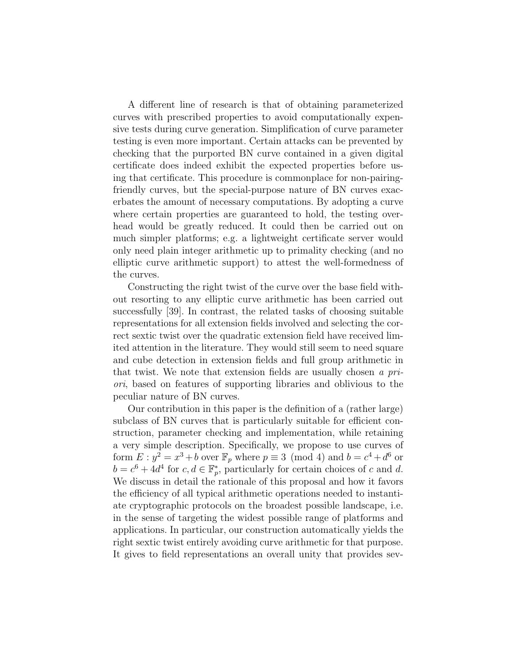A different line of research is that of obtaining parameterized curves with prescribed properties to avoid computationally expensive tests during curve generation. Simplification of curve parameter testing is even more important. Certain attacks can be prevented by checking that the purported BN curve contained in a given digital certificate does indeed exhibit the expected properties before using that certificate. This procedure is commonplace for non-pairingfriendly curves, but the special-purpose nature of BN curves exacerbates the amount of necessary computations. By adopting a curve where certain properties are guaranteed to hold, the testing overhead would be greatly reduced. It could then be carried out on much simpler platforms; e.g. a lightweight certificate server would only need plain integer arithmetic up to primality checking (and no elliptic curve arithmetic support) to attest the well-formedness of the curves.

Constructing the right twist of the curve over the base field without resorting to any elliptic curve arithmetic has been carried out successfully [39]. In contrast, the related tasks of choosing suitable representations for all extension fields involved and selecting the correct sextic twist over the quadratic extension field have received limited attention in the literature. They would still seem to need square and cube detection in extension fields and full group arithmetic in that twist. We note that extension fields are usually chosen a priori, based on features of supporting libraries and oblivious to the peculiar nature of BN curves.

Our contribution in this paper is the definition of a (rather large) subclass of BN curves that is particularly suitable for efficient construction, parameter checking and implementation, while retaining a very simple description. Specifically, we propose to use curves of form  $E: y^2 = x^3 + b$  over  $\mathbb{F}_p$  where  $p \equiv 3 \pmod{4}$  and  $b = c^4 + d^6$  or  $b = c^6 + 4d^4$  for  $c, d \in \mathbb{F}_p^*$ , particularly for certain choices of c and d. We discuss in detail the rationale of this proposal and how it favors the efficiency of all typical arithmetic operations needed to instantiate cryptographic protocols on the broadest possible landscape, i.e. in the sense of targeting the widest possible range of platforms and applications. In particular, our construction automatically yields the right sextic twist entirely avoiding curve arithmetic for that purpose. It gives to field representations an overall unity that provides sev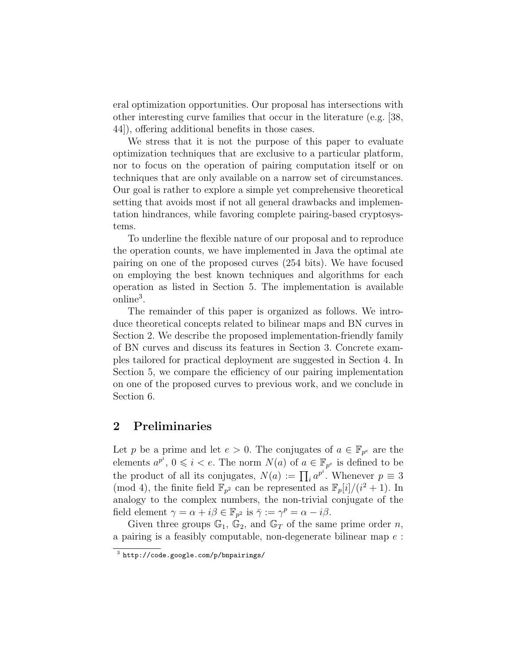eral optimization opportunities. Our proposal has intersections with other interesting curve families that occur in the literature (e.g. [38, 44]), offering additional benefits in those cases.

We stress that it is not the purpose of this paper to evaluate optimization techniques that are exclusive to a particular platform, nor to focus on the operation of pairing computation itself or on techniques that are only available on a narrow set of circumstances. Our goal is rather to explore a simple yet comprehensive theoretical setting that avoids most if not all general drawbacks and implementation hindrances, while favoring complete pairing-based cryptosystems.

To underline the flexible nature of our proposal and to reproduce the operation counts, we have implemented in Java the optimal ate pairing on one of the proposed curves (254 bits). We have focused on employing the best known techniques and algorithms for each operation as listed in Section 5. The implementation is available online<sup>3</sup> .

The remainder of this paper is organized as follows. We introduce theoretical concepts related to bilinear maps and BN curves in Section 2. We describe the proposed implementation-friendly family of BN curves and discuss its features in Section 3. Concrete examples tailored for practical deployment are suggested in Section 4. In Section 5, we compare the efficiency of our pairing implementation on one of the proposed curves to previous work, and we conclude in Section 6.

### 2 Preliminaries

Let p be a prime and let  $e > 0$ . The conjugates of  $a \in \mathbb{F}_{p^e}$  are the elements  $a^{p^i}$ ,  $0 \leq i < e$ . The norm  $N(a)$  of  $a \in \mathbb{F}_{p^e}$  is defined to be the product of all its conjugates,  $N(a) := \prod_i a^{p^i}$ . Whenever  $p \equiv 3$ (mod 4), the finite field  $\mathbb{F}_{p^2}$  can be represented as  $\mathbb{F}_p[i]/(i^2+1)$ . In analogy to the complex numbers, the non-trivial conjugate of the field element  $\gamma = \alpha + i\beta \in \mathbb{F}_{p^2}$  is  $\bar{\gamma} := \gamma^p = \alpha - i\beta$ .

Given three groups  $\mathbb{G}_1$ ,  $\mathbb{G}_2$ , and  $\mathbb{G}_T$  of the same prime order *n*, a pairing is a feasibly computable, non-degenerate bilinear map e :

 $^3$  http://code.google.com/p/bnpairings/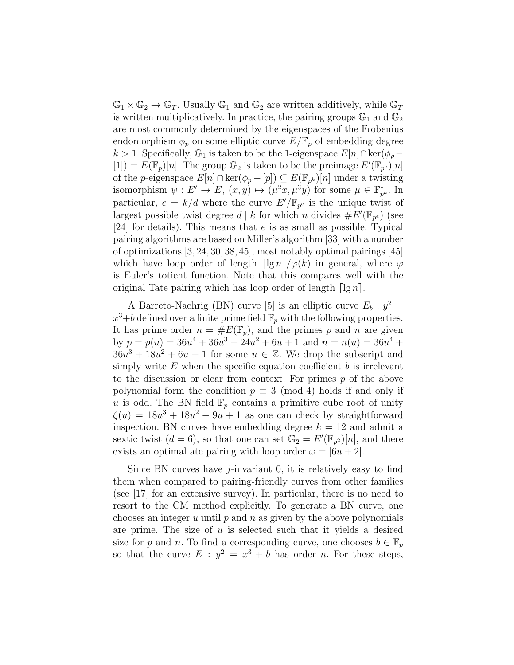$\mathbb{G}_1 \times \mathbb{G}_2 \to \mathbb{G}_T$ . Usually  $\mathbb{G}_1$  and  $\mathbb{G}_2$  are written additively, while  $\mathbb{G}_T$ is written multiplicatively. In practice, the pairing groups  $\mathbb{G}_1$  and  $\mathbb{G}_2$ are most commonly determined by the eigenspaces of the Frobenius endomorphism  $\phi_p$  on some elliptic curve  $E/\mathbb{F}_p$  of embedding degree k > 1. Specifically,  $\mathbb{G}_1$  is taken to be the 1-eigenspace  $E[n] \cap \text{ker}(\phi_p [1]$  =  $E(\mathbb{F}_p)[n]$ . The group  $\mathbb{G}_2$  is taken to be the preimage  $E'(\mathbb{F}_{p^e})[n]$ of the p-eigenspace  $E[n] \cap \ker(\phi_p - [p]) \subseteq E(\mathbb{F}_{p^k})[n]$  under a twisting isomorphism  $\psi: E' \to E$ ,  $(x, y) \mapsto (\mu^2 x, \mu^3 y)$  for some  $\mu \in \mathbb{F}_p^*$  $_{p^k}^*$ . In particular,  $e = k/d$  where the curve  $E'/\mathbb{F}_{p^e}$  is the unique twist of largest possible twist degree  $d \mid k$  for which n divides  $\#E'(\mathbb{F}_{p^e})$  (see [24] for details). This means that e is as small as possible. Typical pairing algorithms are based on Miller's algorithm [33] with a number of optimizations [3, 24, 30, 38, 45], most notably optimal pairings [45] which have loop order of length  $\lceil \lg n \rceil / \varphi(k)$  in general, where  $\varphi$ is Euler's totient function. Note that this compares well with the original Tate pairing which has loop order of length  $\lceil \lg n \rceil$ .

A Barreto-Naehrig (BN) curve [5] is an elliptic curve  $E_b: y^2 =$  $x^3+b$  defined over a finite prime field  $\mathbb{F}_p$  with the following properties. It has prime order  $n = \#E(\mathbb{F}_p)$ , and the primes p and n are given by  $p = p(u) = 36u^4 + 36u^3 + 24u^2 + 6u + 1$  and  $n = n(u) = 36u^4 +$  $36u^3 + 18u^2 + 6u + 1$  for some  $u \in \mathbb{Z}$ . We drop the subscript and simply write  $E$  when the specific equation coefficient  $b$  is irrelevant to the discussion or clear from context. For primes  $p$  of the above polynomial form the condition  $p \equiv 3 \pmod{4}$  holds if and only if u is odd. The BN field  $\mathbb{F}_p$  contains a primitive cube root of unity  $\zeta(u) = 18u^3 + 18u^2 + 9u + 1$  as one can check by straightforward inspection. BN curves have embedding degree  $k = 12$  and admit a sextic twist  $(d = 6)$ , so that one can set  $\mathbb{G}_2 = E'(\mathbb{F}_{p^2})[n]$ , and there exists an optimal ate pairing with loop order  $\omega = |6u + 2|$ .

Since BN curves have  $i$ -invariant 0, it is relatively easy to find them when compared to pairing-friendly curves from other families (see [17] for an extensive survey). In particular, there is no need to resort to the CM method explicitly. To generate a BN curve, one chooses an integer u until  $p$  and  $n$  as given by the above polynomials are prime. The size of  $u$  is selected such that it yields a desired size for p and n. To find a corresponding curve, one chooses  $b \in \mathbb{F}_p$ so that the curve  $E : y^2 = x^3 + b$  has order *n*. For these steps,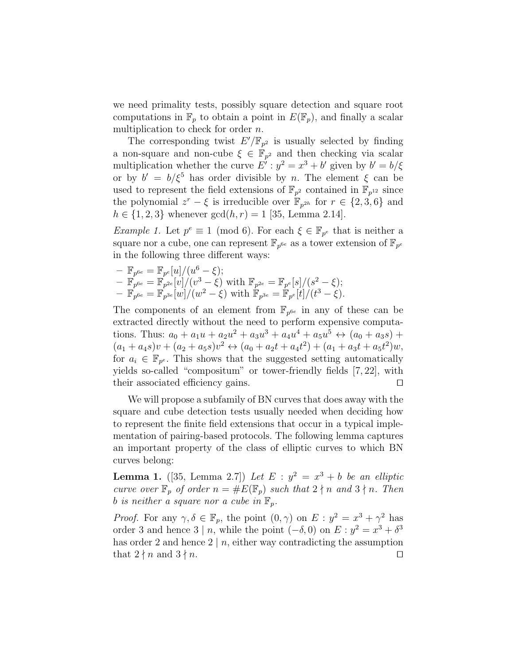we need primality tests, possibly square detection and square root computations in  $\mathbb{F}_p$  to obtain a point in  $E(\mathbb{F}_p)$ , and finally a scalar multiplication to check for order *n*.

The corresponding twist  $E'/\mathbb{F}_{p^2}$  is usually selected by finding a non-square and non-cube  $\xi \in \mathbb{F}_{p^2}$  and then checking via scalar multiplication whether the curve  $E': y^2 = x^3 + b'$  given by  $b' = b/\xi$ or by  $b' = b/\xi^5$  has order divisible by n. The element  $\xi$  can be used to represent the field extensions of  $\mathbb{F}_{p^2}$  contained in  $\mathbb{F}_{p^{12}}$  since the polynomial  $z^r - \xi$  is irreducible over  $\mathbb{F}_{p^{2h}}$  for  $r \in \{2, 3, 6\}$  and  $h \in \{1, 2, 3\}$  whenever  $gcd(h, r) = 1$  [35, Lemma 2.14].

*Example 1.* Let  $p^e \equiv 1 \pmod{6}$ . For each  $\xi \in \mathbb{F}_{p^e}$  that is neither a square nor a cube, one can represent  $\mathbb{F}_{p^{6e}}$  as a tower extension of  $\mathbb{F}_{p^e}$ in the following three different ways:

- 
$$
\mathbb{F}_{p^{6e}} = \mathbb{F}_{p^e}[u]/(u^6 - \xi);
$$
  
\n-  $\mathbb{F}_{p^{6e}} = \mathbb{F}_{p^{2e}}[v]/(v^3 - \xi)$  with  $\mathbb{F}_{p^{2e}} = \mathbb{F}_{p^e}[s]/(s^2 - \xi);$   
\n-  $\mathbb{F}_{p^{6e}} = \mathbb{F}_{p^{3e}}[w]/(w^2 - \xi)$  with  $\mathbb{F}_{p^{3e}} = \mathbb{F}_{p^e}[t]/(t^3 - \xi).$ 

The components of an element from  $\mathbb{F}_{p^{6e}}$  in any of these can be extracted directly without the need to perform expensive computations. Thus:  $a_0 + a_1u + a_2u^2 + a_3u^3 + a_4u^4 + a_5u^5 \leftrightarrow (a_0 + a_3s) +$  $(a_1 + a_4 s)v + (a_2 + a_5 s)v^2 \leftrightarrow (a_0 + a_2 t + a_4 t^2) + (a_1 + a_3 t + a_5 t^2)w,$ for  $a_i \in \mathbb{F}_{p^e}$ . This shows that the suggested setting automatically yields so-called "compositum" or tower-friendly fields [7, 22], with their associated efficiency gains.  $\square$ 

We will propose a subfamily of BN curves that does away with the square and cube detection tests usually needed when deciding how to represent the finite field extensions that occur in a typical implementation of pairing-based protocols. The following lemma captures an important property of the class of elliptic curves to which BN curves belong:

**Lemma 1.** ([35, Lemma 2.7]) Let  $E : y^2 = x^3 + b$  be an elliptic curve over  $\mathbb{F}_p$  of order  $n = \#E(\mathbb{F}_p)$  such that  $2 \nmid n$  and  $3 \nmid n$ . Then b is neither a square nor a cube in  $\mathbb{F}_p$ .

*Proof.* For any  $\gamma, \delta \in \mathbb{F}_p$ , the point  $(0, \gamma)$  on  $E : y^2 = x^3 + \gamma^2$  has order 3 and hence  $3 | n$ , while the point  $(-\delta, 0)$  on  $E : y^2 = x^3 + \delta^3$ has order 2 and hence  $2 \mid n$ , either way contradicting the assumption that  $2 \nmid n$  and  $3 \nmid n$ .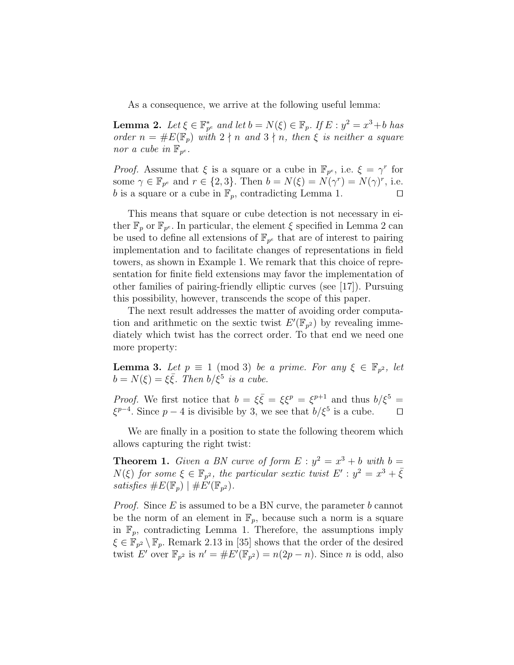As a consequence, we arrive at the following useful lemma:

**Lemma 2.** Let  $\xi \in \mathbb{F}_{p^e}^*$  and let  $b = N(\xi) \in \mathbb{F}_p$ . If  $E : y^2 = x^3 + b$  has order  $n = \#E(\mathbb{F}_p)$  with  $2 \nmid n$  and  $3 \nmid n$ , then  $\xi$  is neither a square nor a cube in  $\mathbb{F}_{p^e}$ .

*Proof.* Assume that  $\xi$  is a square or a cube in  $\mathbb{F}_{p^e}$ , i.e.  $\xi = \gamma^r$  for some  $\gamma \in \mathbb{F}_{p^e}$  and  $r \in \{2,3\}$ . Then  $b = N(\xi) = N(\gamma^r) = N(\gamma)^r$ , i.e. b is a square or a cube in  $\mathbb{F}_p$ , contradicting Lemma 1.

This means that square or cube detection is not necessary in either  $\mathbb{F}_p$  or  $\mathbb{F}_{p^e}$ . In particular, the element  $\xi$  specified in Lemma 2 can be used to define all extensions of  $\mathbb{F}_{p^e}$  that are of interest to pairing implementation and to facilitate changes of representations in field towers, as shown in Example 1. We remark that this choice of representation for finite field extensions may favor the implementation of other families of pairing-friendly elliptic curves (see [17]). Pursuing this possibility, however, transcends the scope of this paper.

The next result addresses the matter of avoiding order computation and arithmetic on the sextic twist  $E'(\mathbb{F}_{p^2})$  by revealing immediately which twist has the correct order. To that end we need one more property:

**Lemma 3.** Let  $p \equiv 1 \pmod{3}$  be a prime. For any  $\xi \in \mathbb{F}_{p^2}$ , let  $b = N(\xi) = \xi \overline{\xi}$ . Then  $b/\xi^5$  is a cube.

*Proof.* We first notice that  $b = \xi \overline{\xi} = \xi \xi^p = \xi^{p+1}$  and thus  $b/\xi^5 =$  $\xi^{p-4}$ . Since  $p-4$  is divisible by 3, we see that  $b/\xi^5$  is a cube. □

We are finally in a position to state the following theorem which allows capturing the right twist:

**Theorem 1.** Given a BN curve of form  $E: y^2 = x^3 + b$  with  $b =$  $N(\xi)$  for some  $\xi \in \mathbb{F}_{p^2}$ , the particular sextic twist  $E': y^2 = x^3 + \overline{\xi}$ satisfies  $\#E(\mathbb{F}_p) \mid \#E'(\mathbb{F}_{p^2})$ .

*Proof.* Since  $E$  is assumed to be a BN curve, the parameter  $b$  cannot be the norm of an element in  $\mathbb{F}_p$ , because such a norm is a square in  $\mathbb{F}_p$ , contradicting Lemma 1. Therefore, the assumptions imply  $\xi \in \mathbb{F}_{p^2} \setminus \mathbb{F}_p$ . Remark 2.13 in [35] shows that the order of the desired twist E' over  $\mathbb{F}_{p^2}$  is  $n' = \#E'(\mathbb{F}_{p^2}) = n(2p - n)$ . Since n is odd, also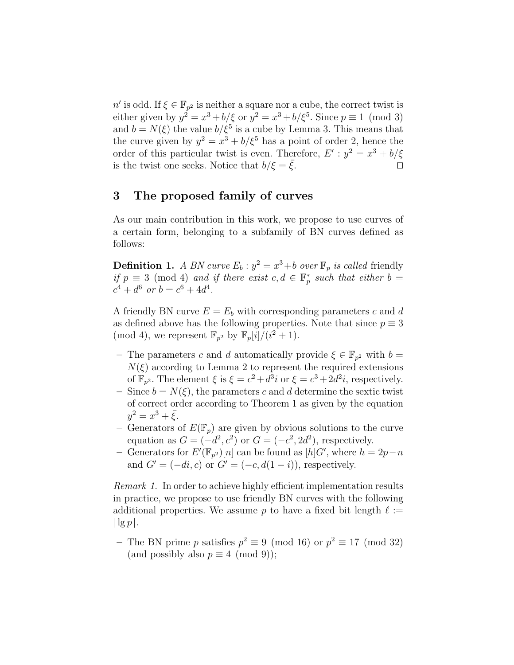n' is odd. If  $\xi \in \mathbb{F}_{p^2}$  is neither a square nor a cube, the correct twist is either given by  $y^2 = x^3 + b/\xi$  or  $y^2 = x^3 + b/\xi^5$ . Since  $p \equiv 1 \pmod{3}$ and  $b = N(\xi)$  the value  $b/\xi^5$  is a cube by Lemma 3. This means that the curve given by  $y^2 = x^3 + b/\xi^5$  has a point of order 2, hence the order of this particular twist is even. Therefore,  $E': y^2 = x^3 + b/\xi$ is the twist one seeks. Notice that  $b/\xi = \bar{\xi}$ .

### 3 The proposed family of curves

As our main contribution in this work, we propose to use curves of a certain form, belonging to a subfamily of BN curves defined as follows:

**Definition 1.** A BN curve  $E_b: y^2 = x^3 + b$  over  $\mathbb{F}_p$  is called friendly if  $p \equiv 3 \pmod{4}$  and if there exist  $c, d \in \mathbb{F}_p^*$  such that either  $b =$  $c^4 + d^6$  or  $b = c^6 + 4d^4$ .

A friendly BN curve  $E = E_b$  with corresponding parameters c and d as defined above has the following properties. Note that since  $p \equiv 3$ (mod 4), we represent  $\mathbb{F}_{p^2}$  by  $\mathbb{F}_p[i]/(i^2+1)$ .

- The parameters c and d automatically provide  $\xi \in \mathbb{F}_{p^2}$  with  $b =$  $N(\xi)$  according to Lemma 2 to represent the required extensions of  $\mathbb{F}_{p^2}$ . The element  $\xi$  is  $\xi = c^2 + d^3i$  or  $\xi = c^3 + 2d^2i$ , respectively.
- Since  $b = N(\xi)$ , the parameters c and d determine the sextic twist of correct order according to Theorem 1 as given by the equation  $y^2 = x^3 + \bar{\xi}.$
- Generators of  $E(\mathbb{F}_p)$  are given by obvious solutions to the curve equation as  $G = (-d^2, c^2)$  or  $G = (-c^2, 2d^2)$ , respectively.
- − Generators for  $E'(\mathbb{F}_{p^2})[n]$  can be found as  $[h]G'$ , where  $h = 2p n$ and  $G' = (-di, c)$  or  $G' = (-c, d(1 - i))$ , respectively.

Remark 1. In order to achieve highly efficient implementation results in practice, we propose to use friendly BN curves with the following additional properties. We assume p to have a fixed bit length  $\ell :=$  $\lvert \lg p \rvert$ .

– The BN prime p satisfies  $p^2 \equiv 9 \pmod{16}$  or  $p^2 \equiv 17 \pmod{32}$ (and possibly also  $p \equiv 4 \pmod{9}$ );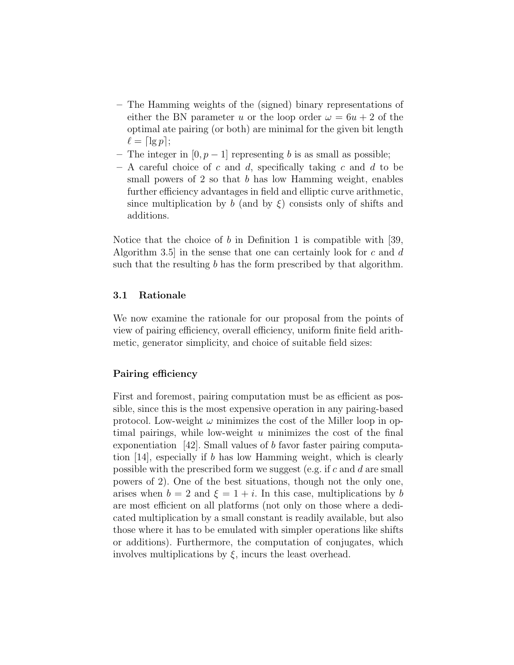- The Hamming weights of the (signed) binary representations of either the BN parameter u or the loop order  $\omega = 6u + 2$  of the optimal ate pairing (or both) are minimal for the given bit length  $\ell = \lceil \lg p \rceil$ ;
- The integer in  $[0, p-1]$  representing b is as small as possible;
- $-$  A careful choice of c and d, specifically taking c and d to be small powers of  $2$  so that  $b$  has low Hamming weight, enables further efficiency advantages in field and elliptic curve arithmetic, since multiplication by b (and by  $\xi$ ) consists only of shifts and additions.

Notice that the choice of  $b$  in Definition 1 is compatible with [39, Algorithm 3.5 in the sense that one can certainly look for c and  $d$ such that the resulting b has the form prescribed by that algorithm.

#### 3.1 Rationale

We now examine the rationale for our proposal from the points of view of pairing efficiency, overall efficiency, uniform finite field arithmetic, generator simplicity, and choice of suitable field sizes:

### Pairing efficiency

First and foremost, pairing computation must be as efficient as possible, since this is the most expensive operation in any pairing-based protocol. Low-weight  $\omega$  minimizes the cost of the Miller loop in optimal pairings, while low-weight  $u$  minimizes the cost of the final exponentiation [42]. Small values of b favor faster pairing computation [14], especially if b has low Hamming weight, which is clearly possible with the prescribed form we suggest (e.g. if  $c$  and  $d$  are small powers of 2). One of the best situations, though not the only one, arises when  $b = 2$  and  $\xi = 1 + i$ . In this case, multiplications by b are most efficient on all platforms (not only on those where a dedicated multiplication by a small constant is readily available, but also those where it has to be emulated with simpler operations like shifts or additions). Furthermore, the computation of conjugates, which involves multiplications by  $\xi$ , incurs the least overhead.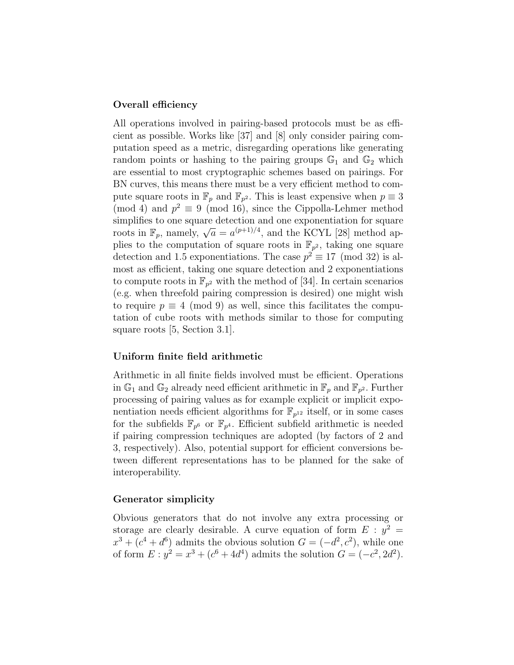#### Overall efficiency

All operations involved in pairing-based protocols must be as efficient as possible. Works like [37] and [8] only consider pairing computation speed as a metric, disregarding operations like generating random points or hashing to the pairing groups  $\mathbb{G}_1$  and  $\mathbb{G}_2$  which are essential to most cryptographic schemes based on pairings. For BN curves, this means there must be a very efficient method to compute square roots in  $\mathbb{F}_p$  and  $\mathbb{F}_{p^2}$ . This is least expensive when  $p \equiv 3$ (mod 4) and  $p^2 \equiv 9 \pmod{16}$ , since the Cippolla-Lehmer method simplifies to one square detection and one exponentiation for square simplifies to one square detection and one exponentiation for square<br>roots in  $\mathbb{F}_p$ , namely,  $\sqrt{a} = a^{(p+1)/4}$ , and the KCYL [28] method applies to the computation of square roots in  $\mathbb{F}_{p^2}$ , taking one square detection and 1.5 exponentiations. The case  $p^2 \equiv 17 \pmod{32}$  is almost as efficient, taking one square detection and 2 exponentiations to compute roots in  $\mathbb{F}_{p^2}$  with the method of [34]. In certain scenarios (e.g. when threefold pairing compression is desired) one might wish to require  $p \equiv 4 \pmod{9}$  as well, since this facilitates the computation of cube roots with methods similar to those for computing square roots [5, Section 3.1].

#### Uniform finite field arithmetic

Arithmetic in all finite fields involved must be efficient. Operations in  $\mathbb{G}_1$  and  $\mathbb{G}_2$  already need efficient arithmetic in  $\mathbb{F}_p$  and  $\mathbb{F}_{p^2}$ . Further processing of pairing values as for example explicit or implicit exponentiation needs efficient algorithms for  $\mathbb{F}_{p^{12}}$  itself, or in some cases for the subfields  $\mathbb{F}_{p^6}$  or  $\mathbb{F}_{p^4}$ . Efficient subfield arithmetic is needed if pairing compression techniques are adopted (by factors of 2 and 3, respectively). Also, potential support for efficient conversions between different representations has to be planned for the sake of interoperability.

#### Generator simplicity

Obvious generators that do not involve any extra processing or storage are clearly desirable. A curve equation of form  $E : y^2 =$  $x^3 + (c^4 + d^6)$  admits the obvious solution  $G = (-d^2, c^2)$ , while one of form  $E: y^2 = x^3 + (c^6 + 4d^4)$  admits the solution  $G = (-c^2, 2d^2)$ .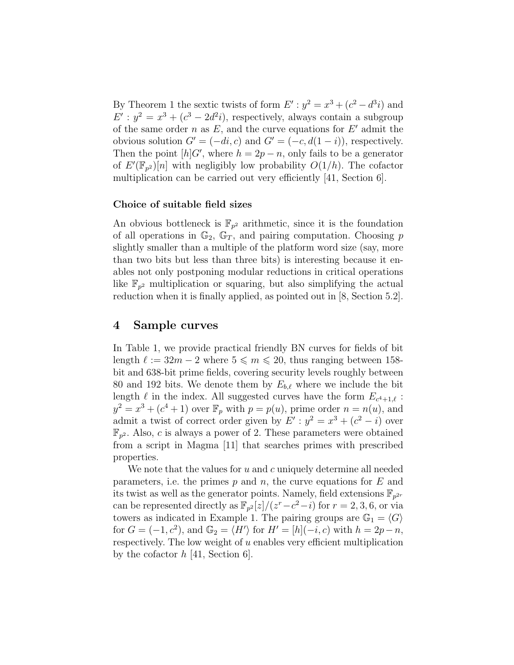By Theorem 1 the sextic twists of form  $E': y^2 = x^3 + (c^2 - d^3 i)$  and  $E': y^2 = x^3 + (c^3 - 2d^2i)$ , respectively, always contain a subgroup of the same order  $n$  as  $E$ , and the curve equations for  $E'$  admit the obvious solution  $G' = (-di, c)$  and  $G' = (-c, d(1 - i))$ , respectively. Then the point  $[h]G'$ , where  $h = 2p - n$ , only fails to be a generator of  $E'(\mathbb{F}_{p^2})[n]$  with negligibly low probability  $O(1/h)$ . The cofactor multiplication can be carried out very efficiently [41, Section 6].

#### Choice of suitable field sizes

An obvious bottleneck is  $\mathbb{F}_{p^2}$  arithmetic, since it is the foundation of all operations in  $\mathbb{G}_2$ ,  $\mathbb{G}_T$ , and pairing computation. Choosing p slightly smaller than a multiple of the platform word size (say, more than two bits but less than three bits) is interesting because it enables not only postponing modular reductions in critical operations like  $\mathbb{F}_{p^2}$  multiplication or squaring, but also simplifying the actual reduction when it is finally applied, as pointed out in [8, Section 5.2].

### 4 Sample curves

In Table 1, we provide practical friendly BN curves for fields of bit length  $\ell := 32m - 2$  where  $5 \le m \le 20$ , thus ranging between 158bit and 638-bit prime fields, covering security levels roughly between 80 and 192 bits. We denote them by  $E_{b,\ell}$  where we include the bit length  $\ell$  in the index. All suggested curves have the form  $E_{c^4+1,\ell}$ :  $y^2 = x^3 + (c^4 + 1)$  over  $\mathbb{F}_p$  with  $p = p(u)$ , prime order  $n = n(u)$ , and admit a twist of correct order given by  $E': y^2 = x^3 + (c^2 - i)$  over  $\mathbb{F}_{p^2}$ . Also, c is always a power of 2. These parameters were obtained from a script in Magma [11] that searches primes with prescribed properties.

We note that the values for  $u$  and  $c$  uniquely determine all needed parameters, i.e. the primes  $p$  and  $n$ , the curve equations for  $E$  and its twist as well as the generator points. Namely, field extensions  $\mathbb{F}_{p^{2r}}$ can be represented directly as  $\mathbb{F}_{p^2}[z]/(z^r-c^2-i)$  for  $r=2,3,6$ , or via towers as indicated in Example 1. The pairing groups are  $\mathbb{G}_1 = \langle G \rangle$ for  $G = (-1, c^2)$ , and  $\mathbb{G}_2 = \langle H' \rangle$  for  $H' = [h](-i, c)$  with  $h = 2p - n$ , respectively. The low weight of  $u$  enables very efficient multiplication by the cofactor  $h$  [41, Section 6].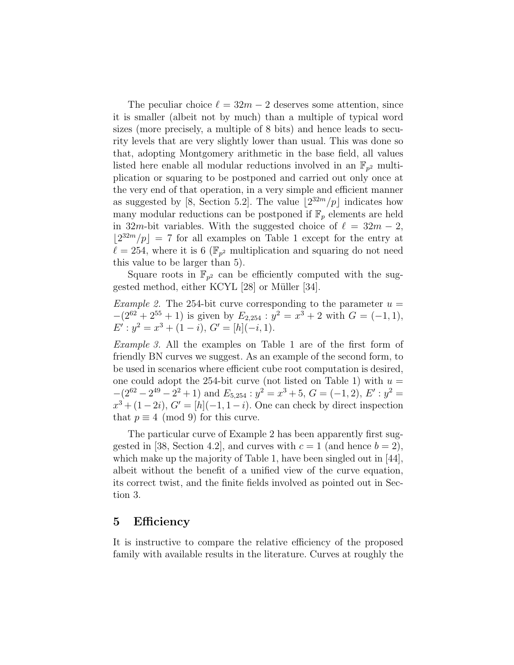The peculiar choice  $\ell = 32m - 2$  deserves some attention, since it is smaller (albeit not by much) than a multiple of typical word sizes (more precisely, a multiple of 8 bits) and hence leads to security levels that are very slightly lower than usual. This was done so that, adopting Montgomery arithmetic in the base field, all values listed here enable all modular reductions involved in an  $\mathbb{F}_{p^2}$  multiplication or squaring to be postponed and carried out only once at the very end of that operation, in a very simple and efficient manner as suggested by [8, Section 5.2]. The value  $\left|2^{32m}/p\right|$  indicates how many modular reductions can be postponed if  $\mathbb{F}_p$  elements are held in 32m-bit variables. With the suggested choice of  $\ell = 32m - 2$ ,  $\lfloor 2^{32m}/p \rfloor = 7$  for all examples on Table 1 except for the entry at  $\ell = 254$ , where it is 6 ( $\mathbb{F}_{p^2}$  multiplication and squaring do not need this value to be larger than 5).

Square roots in  $\mathbb{F}_{p^2}$  can be efficiently computed with the suggested method, either KCYL  $[28]$  or Müller  $[34]$ .

*Example 2.* The 254-bit curve corresponding to the parameter  $u =$  $-(2^{62} + 2^{55} + 1)$  is given by  $E_{2,254}$ :  $y^2 = x^3 + 2$  with  $G = (-1,1)$ ,  $E'$ :  $y^2 = x^3 + (1 - i), G' = [h](-i, 1).$ 

Example 3. All the examples on Table 1 are of the first form of friendly BN curves we suggest. As an example of the second form, to be used in scenarios where efficient cube root computation is desired, one could adopt the 254-bit curve (not listed on Table 1) with  $u =$  $-(2^{62} - 2^{49} - 2^2 + 1)$  and  $E_{5,254}$ :  $y^2 = x^3 + 5$ ,  $G = (-1, 2)$ ,  $E'$ :  $y^2 =$  $x^3 + (1-2i), G' = [h](-1, 1-i).$  One can check by direct inspection that  $p \equiv 4 \pmod{9}$  for this curve.

The particular curve of Example 2 has been apparently first suggested in [38, Section 4.2], and curves with  $c = 1$  (and hence  $b = 2$ ), which make up the majority of Table 1, have been singled out in [44], albeit without the benefit of a unified view of the curve equation, its correct twist, and the finite fields involved as pointed out in Section 3.

### 5 Efficiency

It is instructive to compare the relative efficiency of the proposed family with available results in the literature. Curves at roughly the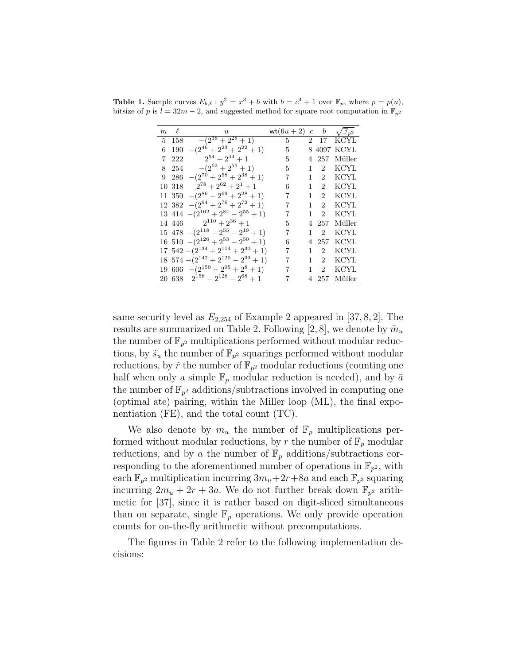| $\boldsymbol{m}$ | $\ell$ | $\boldsymbol{u}$                             | wt $(6u+2)$ c |              | $\boldsymbol{b}$            | $\sqrt{\mathbb{F}_{p^2}}$ |
|------------------|--------|----------------------------------------------|---------------|--------------|-----------------------------|---------------------------|
| 5 158            |        | $-(2^{38}+2^{28}+1)$                         | 5             |              |                             | 2 17 KCYL                 |
| 6                | 190    | $-(2^{46}+2^{23}+2^{22}+1)$                  | 5             |              |                             | 8 4097 KCYL               |
| 7                | 222    | $2^{54} - 2^{44} + 1$                        | 5             |              | 4 257                       | Müller                    |
|                  | 8 254  | $-(2^{62}+2^{55}+1)$                         | 5             | 1            | $\overline{2}$              | <b>KCYL</b>               |
| 9                | 286    | $-(2^{70}+2^{58}+2^{38}+1)$                  | 7             | $\mathbf{1}$ | $\overline{2}$              | KCYL                      |
| 10 318           |        | $2^{78} + 2^{62} + 2^1 + 1$                  | 6             | 1            | $2^{-}$                     | <b>KCYL</b>               |
| 11 350           |        | $-(2^{86}-2^{69}+2^{28}+1)$                  | 7             | 1            | $2^{\circ}$                 | KCYL                      |
|                  |        | 12 382 $-(2^{94}+2^{76}+2^{72}+1)$           |               | 1            | $\overline{2}$              | KCYL                      |
|                  |        | 13 414 $-(2^{102} + 2^{84} - 2^{55} + 1)$    |               | 1            | $\overline{2}$              | KCYL                      |
|                  |        | 14 446 $2^{110} + 2^{36} + 1$                | 5             |              | 4 257                       | Müller                    |
|                  |        | $15\ 478\ - (2^{118} - 2^{55} - 2^{19} + 1)$ | 7             | 1            | $\mathcal{D}_{\mathcal{L}}$ | KCYL                      |
|                  |        | 16 510 $-(2^{126} + 2^{53} - 2^{50} + 1)$    | 6             |              | 257                         | KCYL                      |
|                  |        | 17 $542 - (2^{134} + 2^{114} + 2^{30} + 1)$  | 7             | 1.           | 2                           | KCYL                      |
|                  |        | $18\ 574 - (2^{142} + 2^{120} - 2^{99} + 1)$ |               | 1            | $\overline{2}$              | KCYL                      |
|                  |        | 19 606 $-(2^{150} - 2^{95} + 2^8 + 1)$       | 7             | 1            | $\overline{2}$              | KCYL                      |
|                  |        | 20 638 $2^{158} - 2^{128} - 2^{68} + 1$      |               | 4            | 257                         | Müller                    |

**Table 1.** Sample curves  $E_{b,\ell} : y^2 = x^3 + b$  with  $b = c^4 + 1$  over  $\mathbb{F}_p$ , where  $p = p(u)$ , bitsize of p is  $l = 32m - 2$ , and suggested method for square root computation in  $\mathbb{F}_{p^2}$ 

same security level as  $E_{2,254}$  of Example 2 appeared in [37, 8, 2]. The results are summarized on Table 2. Following [2, 8], we denote by  $\tilde{m}_u$ the number of  $\mathbb{F}_{p^2}$  multiplications performed without modular reductions, by  $\tilde{s}_u$  the number of  $\mathbb{F}_{p^2}$  squarings performed without modular reductions, by  $\tilde{r}$  the number of  $\mathbb{F}_{p^2}$  modular reductions (counting one half when only a simple  $\mathbb{F}_p$  modular reduction is needed), and by  $\tilde{a}$ the number of  $\mathbb{F}_{p^2}$  additions/subtractions involved in computing one (optimal ate) pairing, within the Miller loop (ML), the final exponentiation (FE), and the total count (TC).

We also denote by  $m_u$  the number of  $\mathbb{F}_p$  multiplications performed without modular reductions, by r the number of  $\mathbb{F}_p$  modular reductions, and by a the number of  $\mathbb{F}_p$  additions/subtractions corresponding to the aforementioned number of operations in  $\mathbb{F}_{p^2}$ , with each  $\mathbb{F}_{p^2}$  multiplication incurring  $3m_u+2r+8a$  and each  $\mathbb{F}_{p^2}$  squaring incurring  $2m_u + 2r + 3a$ . We do not further break down  $\mathbb{F}_{p^2}$  arithmetic for [37], since it is rather based on digit-sliced simultaneous than on separate, single  $\mathbb{F}_p$  operations. We only provide operation counts for on-the-fly arithmetic without precomputations.

The figures in Table 2 refer to the following implementation decisions: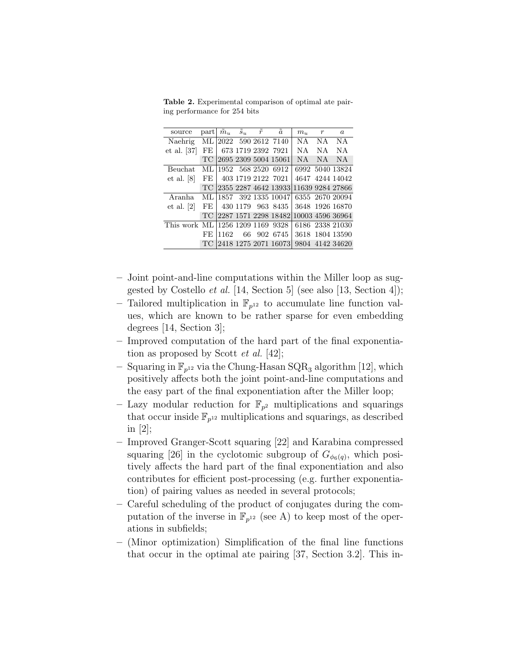Table 2. Experimental comparison of optimal ate pairing performance for 254 bits

| source                           |     | part $\tilde{m}_u$ $\tilde{s}_u$ $\tilde{r}$ |  | $\tilde{a}$              | $m_u$     | r   | $\boldsymbol{a}$ |
|----------------------------------|-----|----------------------------------------------|--|--------------------------|-----------|-----|------------------|
| Naehrig                          |     |                                              |  | ML 2022 590 2612 7140    | NA NA     |     | NA               |
| $et$ al. [37]                    |     |                                              |  | FE 673 1719 2392 7921    | <b>NA</b> | NA. | <b>NA</b>        |
|                                  | TC. |                                              |  | 2695 2309 5004 15061     | NA.       | NA. | <b>NA</b>        |
| Beuchat                          |     |                                              |  | ML 1952 568 2520 6912    |           |     | 6992 5040 13824  |
| et al. [8]                       |     |                                              |  | FE   403 1719 2122 7021  |           |     | 4647 4244 14042  |
|                                  |     |                                              |  | TC 2355 2287 4642 13933  |           |     | 11639 9284 27866 |
| Aranha                           |     |                                              |  | ML   1857 392 1335 10047 |           |     | 6355 2670 20094  |
| et al. [2]                       |     |                                              |  | FE 430 1179 963 8435     |           |     | 3648 1926 16870  |
|                                  | TC. |                                              |  | 2287 1571 2298 18482     |           |     | 10003 4596 36964 |
| This work ML 1256 1209 1169 9328 |     |                                              |  |                          |           |     | 6186 2338 21030  |
|                                  | FE. | 1162                                         |  | 66 902 6745              |           |     | 3618 1804 13590  |
|                                  |     |                                              |  | TC 2418 1275 2071 16073  |           |     | 9804 4142 34620  |

- Joint point-and-line computations within the Miller loop as suggested by Costello et al. [14, Section 5] (see also [13, Section 4]);
- Tailored multiplication in  $\mathbb{F}_{p^{12}}$  to accumulate line function values, which are known to be rather sparse for even embedding degrees [14, Section 3];
- Improved computation of the hard part of the final exponentiation as proposed by Scott et al. [42];
- Squaring in  $\mathbb{F}_{p^{12}}$  via the Chung-Hasan SQR<sub>3</sub> algorithm [12], which positively affects both the joint point-and-line computations and the easy part of the final exponentiation after the Miller loop;
- Lazy modular reduction for  $\mathbb{F}_{p^2}$  multiplications and squarings that occur inside  $\mathbb{F}_{p^{12}}$  multiplications and squarings, as described in [2];
- Improved Granger-Scott squaring [22] and Karabina compressed squaring [26] in the cyclotomic subgroup of  $G_{\phi_6(q)}$ , which positively affects the hard part of the final exponentiation and also contributes for efficient post-processing (e.g. further exponentiation) of pairing values as needed in several protocols;
- Careful scheduling of the product of conjugates during the computation of the inverse in  $\mathbb{F}_{p^{12}}$  (see A) to keep most of the operations in subfields;
- (Minor optimization) Simplification of the final line functions that occur in the optimal ate pairing [37, Section 3.2]. This in-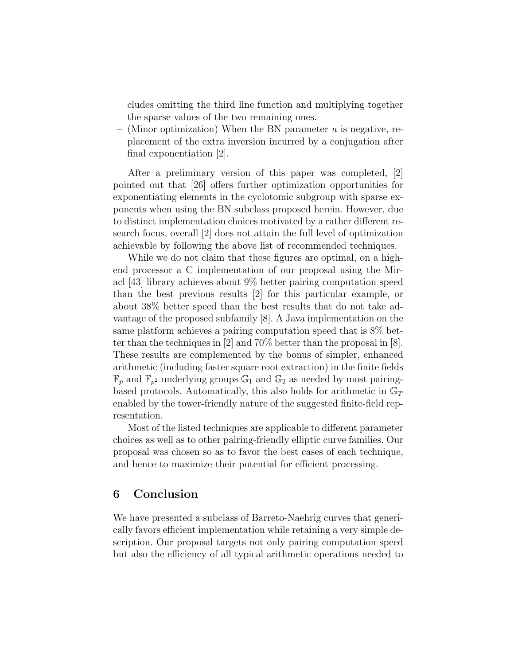cludes omitting the third line function and multiplying together the sparse values of the two remaining ones.

– (Minor optimization) When the BN parameter  $u$  is negative, replacement of the extra inversion incurred by a conjugation after final exponentiation [2].

After a preliminary version of this paper was completed, [2] pointed out that [26] offers further optimization opportunities for exponentiating elements in the cyclotomic subgroup with sparse exponents when using the BN subclass proposed herein. However, due to distinct implementation choices motivated by a rather different research focus, overall [2] does not attain the full level of optimization achievable by following the above list of recommended techniques.

While we do not claim that these figures are optimal, on a highend processor a C implementation of our proposal using the Miracl [43] library achieves about 9% better pairing computation speed than the best previous results [2] for this particular example, or about 38% better speed than the best results that do not take advantage of the proposed subfamily [8]. A Java implementation on the same platform achieves a pairing computation speed that is 8% better than the techniques in [2] and 70% better than the proposal in [8]. These results are complemented by the bonus of simpler, enhanced arithmetic (including faster square root extraction) in the finite fields  $\mathbb{F}_p$  and  $\mathbb{F}_{p^2}$  underlying groups  $\mathbb{G}_1$  and  $\mathbb{G}_2$  as needed by most pairingbased protocols. Automatically, this also holds for arithmetic in  $\mathbb{G}_T$ enabled by the tower-friendly nature of the suggested finite-field representation.

Most of the listed techniques are applicable to different parameter choices as well as to other pairing-friendly elliptic curve families. Our proposal was chosen so as to favor the best cases of each technique, and hence to maximize their potential for efficient processing.

### 6 Conclusion

We have presented a subclass of Barreto-Naehrig curves that generically favors efficient implementation while retaining a very simple description. Our proposal targets not only pairing computation speed but also the efficiency of all typical arithmetic operations needed to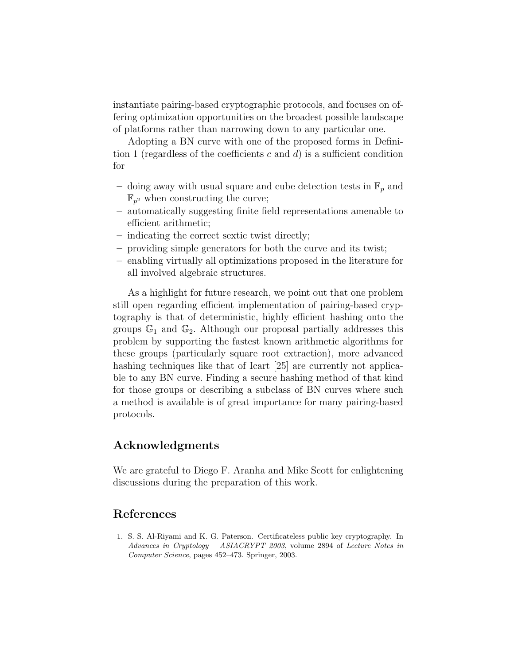instantiate pairing-based cryptographic protocols, and focuses on offering optimization opportunities on the broadest possible landscape of platforms rather than narrowing down to any particular one.

Adopting a BN curve with one of the proposed forms in Definition 1 (regardless of the coefficients c and  $d$ ) is a sufficient condition for

- doing away with usual square and cube detection tests in  $\mathbb{F}_p$  and  $\mathbb{F}_{p^2}$  when constructing the curve;
- automatically suggesting finite field representations amenable to efficient arithmetic;
- indicating the correct sextic twist directly;
- providing simple generators for both the curve and its twist;
- enabling virtually all optimizations proposed in the literature for all involved algebraic structures.

As a highlight for future research, we point out that one problem still open regarding efficient implementation of pairing-based cryptography is that of deterministic, highly efficient hashing onto the groups  $\mathbb{G}_1$  and  $\mathbb{G}_2$ . Although our proposal partially addresses this problem by supporting the fastest known arithmetic algorithms for these groups (particularly square root extraction), more advanced hashing techniques like that of Icart [25] are currently not applicable to any BN curve. Finding a secure hashing method of that kind for those groups or describing a subclass of BN curves where such a method is available is of great importance for many pairing-based protocols.

### Acknowledgments

We are grateful to Diego F. Aranha and Mike Scott for enlightening discussions during the preparation of this work.

### References

1. S. S. Al-Riyami and K. G. Paterson. Certificateless public key cryptography. In Advances in Cryptology – ASIACRYPT 2003, volume 2894 of Lecture Notes in Computer Science, pages 452–473. Springer, 2003.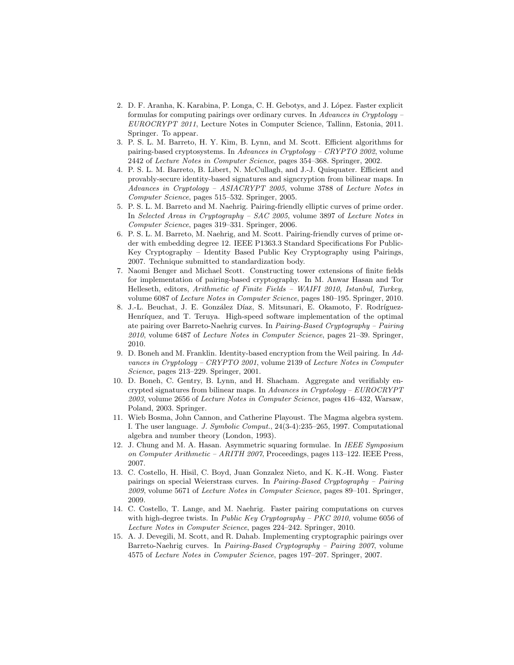- 2. D. F. Aranha, K. Karabina, P. Longa, C. H. Gebotys, and J. López. Faster explicit formulas for computing pairings over ordinary curves. In Advances in Cryptology – EUROCRYPT 2011, Lecture Notes in Computer Science, Tallinn, Estonia, 2011. Springer. To appear.
- 3. P. S. L. M. Barreto, H. Y. Kim, B. Lynn, and M. Scott. Efficient algorithms for pairing-based cryptosystems. In Advances in Cryptology – CRYPTO 2002, volume 2442 of Lecture Notes in Computer Science, pages 354–368. Springer, 2002.
- 4. P. S. L. M. Barreto, B. Libert, N. McCullagh, and J.-J. Quisquater. Efficient and provably-secure identity-based signatures and signcryption from bilinear maps. In Advances in Cryptology – ASIACRYPT 2005, volume 3788 of Lecture Notes in Computer Science, pages 515–532. Springer, 2005.
- 5. P. S. L. M. Barreto and M. Naehrig. Pairing-friendly elliptic curves of prime order. In Selected Areas in Cryptography – SAC 2005, volume 3897 of Lecture Notes in Computer Science, pages 319–331. Springer, 2006.
- 6. P. S. L. M. Barreto, M. Naehrig, and M. Scott. Pairing-friendly curves of prime order with embedding degree 12. IEEE P1363.3 Standard Specifications For Public-Key Cryptography – Identity Based Public Key Cryptography using Pairings, 2007. Technique submitted to standardization body.
- 7. Naomi Benger and Michael Scott. Constructing tower extensions of finite fields for implementation of pairing-based cryptography. In M. Anwar Hasan and Tor Helleseth, editors, Arithmetic of Finite Fields – WAIFI 2010, Istanbul, Turkey, volume 6087 of Lecture Notes in Computer Science, pages 180–195. Springer, 2010.
- 8. J.-L. Beuchat, J. E. González Díaz, S. Mitsunari, E. Okamoto, F. Rodríguez-Henríquez, and T. Teruya. High-speed software implementation of the optimal ate pairing over Barreto-Naehrig curves. In Pairing-Based Cryptography – Pairing  $2010$ , volume 6487 of *Lecture Notes in Computer Science*, pages  $21-39$ . Springer, 2010.
- 9. D. Boneh and M. Franklin. Identity-based encryption from the Weil pairing. In Advances in Cryptology – CRYPTO 2001, volume 2139 of Lecture Notes in Computer Science, pages 213–229. Springer, 2001.
- 10. D. Boneh, C. Gentry, B. Lynn, and H. Shacham. Aggregate and verifiably encrypted signatures from bilinear maps. In Advances in Cryptology – EUROCRYPT 2003, volume 2656 of Lecture Notes in Computer Science, pages 416–432, Warsaw, Poland, 2003. Springer.
- 11. Wieb Bosma, John Cannon, and Catherine Playoust. The Magma algebra system. I. The user language. J. Symbolic Comput., 24(3-4):235–265, 1997. Computational algebra and number theory (London, 1993).
- 12. J. Chung and M. A. Hasan. Asymmetric squaring formulae. In IEEE Symposium on Computer Arithmetic – ARITH 2007, Proceedings, pages 113–122. IEEE Press, 2007.
- 13. C. Costello, H. Hisil, C. Boyd, Juan Gonzalez Nieto, and K. K.-H. Wong. Faster pairings on special Weierstrass curves. In Pairing-Based Cryptography – Pairing 2009, volume 5671 of Lecture Notes in Computer Science, pages 89–101. Springer, 2009.
- 14. C. Costello, T. Lange, and M. Naehrig. Faster pairing computations on curves with high-degree twists. In Public Key Cryptography – PKC 2010, volume 6056 of Lecture Notes in Computer Science, pages 224–242. Springer, 2010.
- 15. A. J. Devegili, M. Scott, and R. Dahab. Implementing cryptographic pairings over Barreto-Naehrig curves. In Pairing-Based Cryptography – Pairing 2007, volume 4575 of Lecture Notes in Computer Science, pages 197–207. Springer, 2007.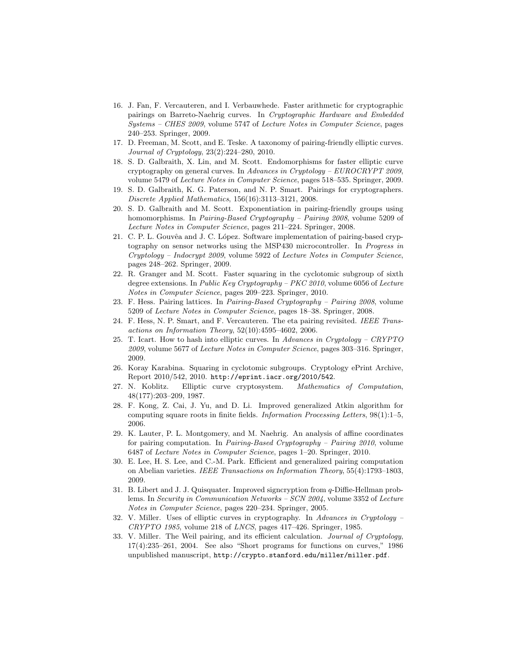- 16. J. Fan, F. Vercauteren, and I. Verbauwhede. Faster arithmetic for cryptographic pairings on Barreto-Naehrig curves. In Cryptographic Hardware and Embedded Systems – CHES 2009, volume 5747 of Lecture Notes in Computer Science, pages 240–253. Springer, 2009.
- 17. D. Freeman, M. Scott, and E. Teske. A taxonomy of pairing-friendly elliptic curves. Journal of Cryptology, 23(2):224–280, 2010.
- 18. S. D. Galbraith, X. Lin, and M. Scott. Endomorphisms for faster elliptic curve cryptography on general curves. In Advances in Cryptology – EUROCRYPT 2009, volume 5479 of Lecture Notes in Computer Science, pages 518–535. Springer, 2009.
- 19. S. D. Galbraith, K. G. Paterson, and N. P. Smart. Pairings for cryptographers. Discrete Applied Mathematics, 156(16):3113–3121, 2008.
- 20. S. D. Galbraith and M. Scott. Exponentiation in pairing-friendly groups using homomorphisms. In Pairing-Based Cryptography - Pairing 2008, volume 5209 of Lecture Notes in Computer Science, pages 211–224. Springer, 2008.
- 21. C. P. L. Gouvêa and J. C. López. Software implementation of pairing-based cryptography on sensor networks using the MSP430 microcontroller. In Progress in Cryptology – Indocrypt 2009, volume 5922 of Lecture Notes in Computer Science, pages 248–262. Springer, 2009.
- 22. R. Granger and M. Scott. Faster squaring in the cyclotomic subgroup of sixth degree extensions. In Public Key Cryptography – PKC 2010, volume 6056 of Lecture Notes in Computer Science, pages 209–223. Springer, 2010.
- 23. F. Hess. Pairing lattices. In Pairing-Based Cryptography Pairing 2008, volume 5209 of Lecture Notes in Computer Science, pages 18–38. Springer, 2008.
- 24. F. Hess, N. P. Smart, and F. Vercauteren. The eta pairing revisited. IEEE Transactions on Information Theory, 52(10):4595–4602, 2006.
- 25. T. Icart. How to hash into elliptic curves. In Advances in Cryptology CRYPTO 2009, volume 5677 of Lecture Notes in Computer Science, pages 303–316. Springer, 2009.
- 26. Koray Karabina. Squaring in cyclotomic subgroups. Cryptology ePrint Archive, Report 2010/542, 2010. http://eprint.iacr.org/2010/542.
- 27. N. Koblitz. Elliptic curve cryptosystem. Mathematics of Computation, 48(177):203–209, 1987.
- 28. F. Kong, Z. Cai, J. Yu, and D. Li. Improved generalized Atkin algorithm for computing square roots in finite fields. Information Processing Letters, 98(1):1–5, 2006.
- 29. K. Lauter, P. L. Montgomery, and M. Naehrig. An analysis of affine coordinates for pairing computation. In Pairing-Based Cryptography – Pairing 2010, volume 6487 of Lecture Notes in Computer Science, pages 1–20. Springer, 2010.
- 30. E. Lee, H. S. Lee, and C.-M. Park. Efficient and generalized pairing computation on Abelian varieties. IEEE Transactions on Information Theory, 55(4):1793–1803, 2009.
- 31. B. Libert and J. J. Quisquater. Improved signcryption from q-Diffie-Hellman problems. In Security in Communication Networks – SCN 2004, volume 3352 of Lecture Notes in Computer Science, pages 220–234. Springer, 2005.
- 32. V. Miller. Uses of elliptic curves in cryptography. In Advances in Cryptology  $CRYPTO$  1985, volume 218 of  $LNCS$ , pages 417-426. Springer, 1985.
- 33. V. Miller. The Weil pairing, and its efficient calculation. Journal of Cryptology,  $17(4):235-261$ ,  $2004$ . See also "Short programs for functions on curves,"  $1986$ unpublished manuscript, http://crypto.stanford.edu/miller/miller.pdf.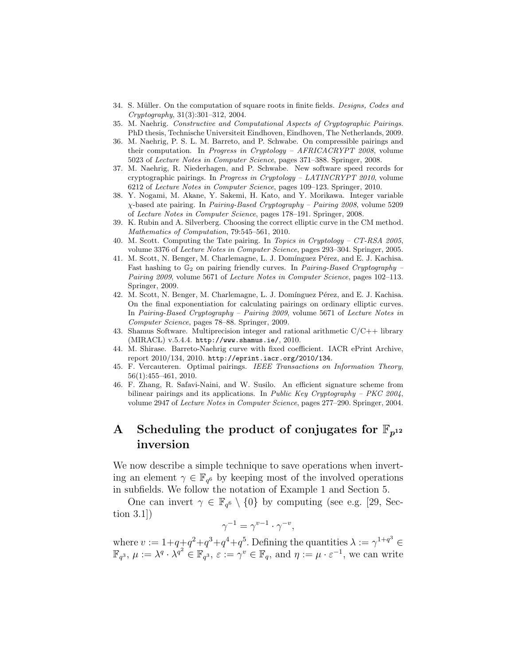- 34. S. Müller. On the computation of square roots in finite fields. Designs, Codes and Cryptography, 31(3):301–312, 2004.
- 35. M. Naehrig. Constructive and Computational Aspects of Cryptographic Pairings. PhD thesis, Technische Universiteit Eindhoven, Eindhoven, The Netherlands, 2009.
- 36. M. Naehrig, P. S. L. M. Barreto, and P. Schwabe. On compressible pairings and their computation. In *Progress in Cryptology – AFRICACRYPT 2008*, volume 5023 of Lecture Notes in Computer Science, pages 371–388. Springer, 2008.
- 37. M. Naehrig, R. Niederhagen, and P. Schwabe. New software speed records for cryptographic pairings. In Progress in Cryptology – LATINCRYPT 2010, volume 6212 of Lecture Notes in Computer Science, pages 109–123. Springer, 2010.
- 38. Y. Nogami, M. Akane, Y. Sakemi, H. Kato, and Y. Morikawa. Integer variable χ-based ate pairing. In Pairing-Based Cryptography – Pairing 2008, volume 5209 of Lecture Notes in Computer Science, pages 178–191. Springer, 2008.
- 39. K. Rubin and A. Silverberg. Choosing the correct elliptic curve in the CM method. Mathematics of Computation, 79:545–561, 2010.
- 40. M. Scott. Computing the Tate pairing. In Topics in Cryptology CT-RSA 2005, volume 3376 of Lecture Notes in Computer Science, pages 293-304. Springer, 2005.
- 41. M. Scott, N. Benger, M. Charlemagne, L. J. Domínguez Pérez, and E. J. Kachisa. Fast hashing to  $\mathbb{G}_2$  on pairing friendly curves. In *Pairing-Based Cryptography* – Pairing 2009, volume 5671 of Lecture Notes in Computer Science, pages 102–113. Springer, 2009.
- 42. M. Scott, N. Benger, M. Charlemagne, L. J. Domínguez Pérez, and E. J. Kachisa. On the final exponentiation for calculating pairings on ordinary elliptic curves. In Pairing-Based Cryptography – Pairing 2009, volume 5671 of Lecture Notes in Computer Science, pages 78–88. Springer, 2009.
- 43. Shamus Software. Multiprecision integer and rational arithmetic  $C/C++$  library (MIRACL) v.5.4.4. http://www.shamus.ie/, 2010.
- 44. M. Shirase. Barreto-Naehrig curve with fixed coefficient. IACR ePrint Archive, report 2010/134, 2010. http://eprint.iacr.org/2010/134.
- 45. F. Vercauteren. Optimal pairings. IEEE Transactions on Information Theory, 56(1):455–461, 2010.
- 46. F. Zhang, R. Safavi-Naini, and W. Susilo. An efficient signature scheme from bilinear pairings and its applications. In Public Key Cryptography – PKC  $2004$ , volume 2947 of Lecture Notes in Computer Science, pages 277–290. Springer, 2004.

## A Scheduling the product of conjugates for  $\mathbb{F}_{n^{12}}$ inversion

We now describe a simple technique to save operations when inverting an element  $\gamma \in \mathbb{F}_{q^6}$  by keeping most of the involved operations in subfields. We follow the notation of Example 1 and Section 5.

One can invert  $\gamma \in \mathbb{F}_{q^6} \setminus \{0\}$  by computing (see e.g. [29, Section 3.1])

$$
\gamma^{-1} = \gamma^{v-1} \cdot \gamma^{-v},
$$

where  $v := 1 + q + q^2 + q^3 + q^4 + q^5$ . Defining the quantities  $\lambda := \gamma^{1+q^3} \in$  $\mathbb{F}_{q^3}, \mu := \lambda^q \cdot \lambda^{q^2} \in \mathbb{F}_{q^3}, \varepsilon := \gamma^v \in \mathbb{F}_q, \text{ and } \eta := \mu \cdot \varepsilon^{-1}, \text{ we can write }$